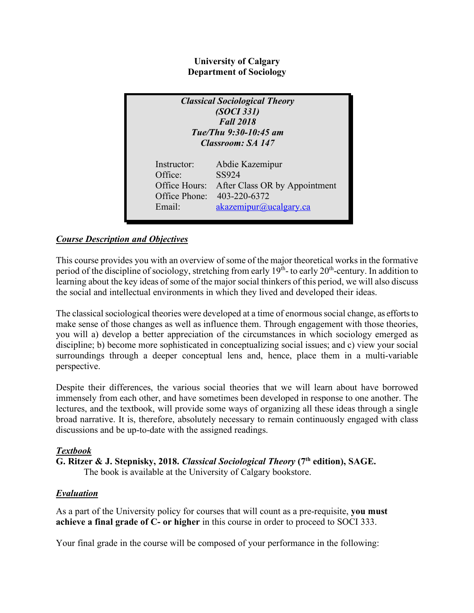## **University of Calgary Department of Sociology**

| <b>Classical Sociological Theory</b><br>(SOCI 331)<br><b>Fall 2018</b><br>Tue/Thu 9:30-10:45 am<br><b>Classroom: SA 147</b> |                               |  |
|-----------------------------------------------------------------------------------------------------------------------------|-------------------------------|--|
| Instructor:                                                                                                                 | Abdie Kazemipur               |  |
| Office:                                                                                                                     | SS924                         |  |
| Office Hours:                                                                                                               | After Class OR by Appointment |  |
| Office Phone:                                                                                                               | 403-220-6372                  |  |
| Email:                                                                                                                      | akazemipur@ucalgary.ca        |  |

# *Course Description and Objectives*

This course provides you with an overview of some of the major theoretical works in the formative period of the discipline of sociology, stretching from early  $19<sup>th</sup>$ - to early  $20<sup>th</sup>$ -century. In addition to learning about the key ideas of some of the major social thinkers of this period, we will also discuss the social and intellectual environments in which they lived and developed their ideas.

The classical sociological theories were developed at a time of enormous social change, as efforts to make sense of those changes as well as influence them. Through engagement with those theories, you will a) develop a better appreciation of the circumstances in which sociology emerged as discipline; b) become more sophisticated in conceptualizing social issues; and c) view your social surroundings through a deeper conceptual lens and, hence, place them in a multi-variable perspective.

Despite their differences, the various social theories that we will learn about have borrowed immensely from each other, and have sometimes been developed in response to one another. The lectures, and the textbook, will provide some ways of organizing all these ideas through a single broad narrative. It is, therefore, absolutely necessary to remain continuously engaged with class discussions and be up-to-date with the assigned readings.

## *Textbook*

**G. Ritzer & J. Stepnisky, 2018.** *Classical Sociological Theory* **(7th edition), SAGE.** The book is available at the University of Calgary bookstore.

## *Evaluation*

As a part of the University policy for courses that will count as a pre-requisite, **you must achieve a final grade of C- or higher** in this course in order to proceed to SOCI 333.

Your final grade in the course will be composed of your performance in the following: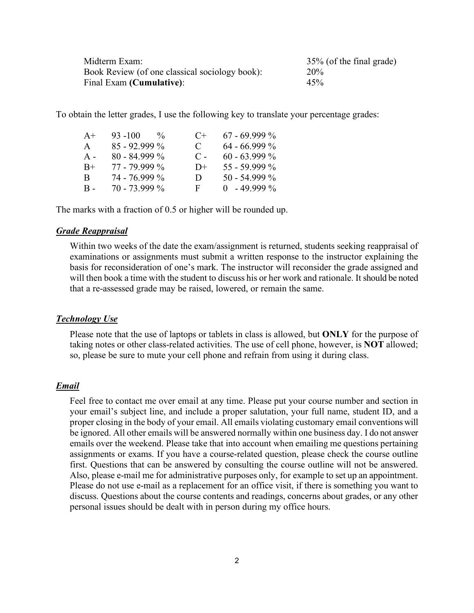| Midterm Exam:                                  | 35% (of the final grade) |
|------------------------------------------------|--------------------------|
| Book Review (of one classical sociology book): | <b>20%</b>               |
| Final Exam (Cumulative):                       | 45%                      |

To obtain the letter grades, I use the following key to translate your percentage grades:

| $93 - 100$<br>$\frac{0}{6}$ | $($ +          | $67 - 69.999\%$ |
|-----------------------------|----------------|-----------------|
| $85 - 92.999\%$             | $\mathbf C$    | $64 - 66.999\%$ |
| $80 - 84.999\%$             | $\mathbf{C}$ – | $60 - 63.999\%$ |
| 77 - 79.999 %               | $D+$           | $55 - 59.999\%$ |
| 74 - 76.999 %               | $\mathbf{D}$   | $50 - 54.999\%$ |
| $70 - 73.999\%$             | F.             | $0 - 49999\%$   |
|                             |                |                 |

The marks with a fraction of 0.5 or higher will be rounded up.

#### *Grade Reappraisal*

Within two weeks of the date the exam/assignment is returned, students seeking reappraisal of examinations or assignments must submit a written response to the instructor explaining the basis for reconsideration of one's mark. The instructor will reconsider the grade assigned and will then book a time with the student to discuss his or her work and rationale. It should be noted that a re-assessed grade may be raised, lowered, or remain the same.

#### *Technology Use*

Please note that the use of laptops or tablets in class is allowed, but **ONLY** for the purpose of taking notes or other class-related activities. The use of cell phone, however, is **NOT** allowed; so, please be sure to mute your cell phone and refrain from using it during class.

#### *Email*

Feel free to contact me over email at any time. Please put your course number and section in your email's subject line, and include a proper salutation, your full name, student ID, and a proper closing in the body of your email. All emails violating customary email conventions will be ignored. All other emails will be answered normally within one business day. I do not answer emails over the weekend. Please take that into account when emailing me questions pertaining assignments or exams. If you have a course-related question, please check the course outline first. Questions that can be answered by consulting the course outline will not be answered. Also, please e-mail me for administrative purposes only, for example to set up an appointment. Please do not use e-mail as a replacement for an office visit, if there is something you want to discuss. Questions about the course contents and readings, concerns about grades, or any other personal issues should be dealt with in person during my office hours.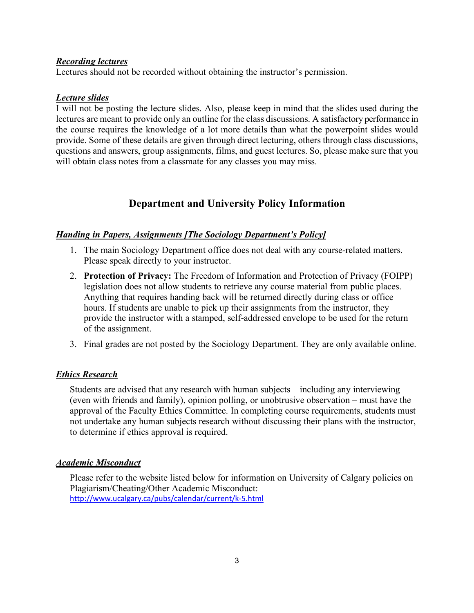### *Recording lectures*

Lectures should not be recorded without obtaining the instructor's permission.

## *Lecture slides*

I will not be posting the lecture slides. Also, please keep in mind that the slides used during the lectures are meant to provide only an outline for the class discussions. A satisfactory performance in the course requires the knowledge of a lot more details than what the powerpoint slides would provide. Some of these details are given through direct lecturing, others through class discussions, questions and answers, group assignments, films, and guest lectures. So, please make sure that you will obtain class notes from a classmate for any classes you may miss.

# **Department and University Policy Information**

### *Handing in Papers, Assignments [The Sociology Department's Policy]*

- 1. The main Sociology Department office does not deal with any course-related matters. Please speak directly to your instructor.
- 2. **Protection of Privacy:** The Freedom of Information and Protection of Privacy (FOIPP) legislation does not allow students to retrieve any course material from public places. Anything that requires handing back will be returned directly during class or office hours. If students are unable to pick up their assignments from the instructor, they provide the instructor with a stamped, self-addressed envelope to be used for the return of the assignment.
- 3. Final grades are not posted by the Sociology Department. They are only available online.

## *Ethics Research*

Students are advised that any research with human subjects – including any interviewing (even with friends and family), opinion polling, or unobtrusive observation – must have the approval of the Faculty Ethics Committee. In completing course requirements, students must not undertake any human subjects research without discussing their plans with the instructor, to determine if ethics approval is required.

#### *Academic Misconduct*

Please refer to the website listed below for information on University of Calgary policies on Plagiarism/Cheating/Other Academic Misconduct: http://www.ucalgary.ca/pubs/calendar/current/k-5.html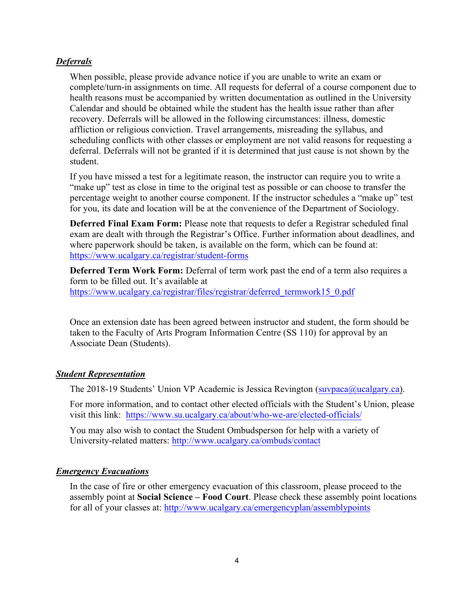#### *Deferrals*

When possible, please provide advance notice if you are unable to write an exam or complete/turn-in assignments on time. All requests for deferral of a course component due to health reasons must be accompanied by written documentation as outlined in the University Calendar and should be obtained while the student has the health issue rather than after recovery. Deferrals will be allowed in the following circumstances: illness, domestic affliction or religious conviction. Travel arrangements, misreading the syllabus, and scheduling conflicts with other classes or employment are not valid reasons for requesting a deferral. Deferrals will not be granted if it is determined that just cause is not shown by the student.

If you have missed a test for a legitimate reason, the instructor can require you to write a "make up" test as close in time to the original test as possible or can choose to transfer the percentage weight to another course component. If the instructor schedules a "make up" test for you, its date and location will be at the convenience of the Department of Sociology.

**Deferred Final Exam Form:** Please note that requests to defer a Registrar scheduled final exam are dealt with through the Registrar's Office. Further information about deadlines, and where paperwork should be taken, is available on the form, which can be found at: https://www.ucalgary.ca/registrar/student-forms

**Deferred Term Work Form:** Deferral of term work past the end of a term also requires a form to be filled out. It's available at https://www.ucalgary.ca/registrar/files/registrar/deferred\_termwork15\_0.pdf

Once an extension date has been agreed between instructor and student, the form should be taken to the Faculty of Arts Program Information Centre (SS 110) for approval by an Associate Dean (Students).

#### *Student Representation*

The 2018-19 Students' Union VP Academic is Jessica Revington (suvpaca@ucalgary.ca).

For more information, and to contact other elected officials with the Student's Union, please visit this link: https://www.su.ucalgary.ca/about/who-we-are/elected-officials/

You may also wish to contact the Student Ombudsperson for help with a variety of University-related matters: http://www.ucalgary.ca/ombuds/contact

#### *Emergency Evacuations*

In the case of fire or other emergency evacuation of this classroom, please proceed to the assembly point at **Social Science – Food Court**. Please check these assembly point locations for all of your classes at: http://www.ucalgary.ca/emergencyplan/assemblypoints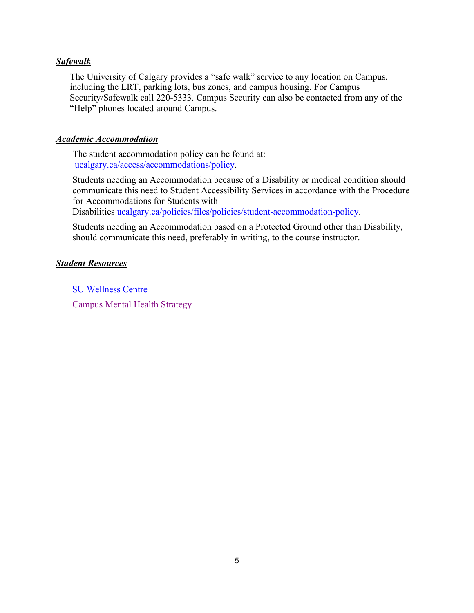### *Safewalk*

The University of Calgary provides a "safe walk" service to any location on Campus, including the LRT, parking lots, bus zones, and campus housing. For Campus Security/Safewalk call 220-5333. Campus Security can also be contacted from any of the "Help" phones located around Campus.

#### *Academic Accommodation*

The student accommodation policy can be found at: ucalgary.ca/access/accommodations/policy.

Students needing an Accommodation because of a Disability or medical condition should communicate this need to Student Accessibility Services in accordance with the Procedure for Accommodations for Students with

Disabilities ucalgary.ca/policies/files/policies/student-accommodation-policy.

Students needing an Accommodation based on a Protected Ground other than Disability, should communicate this need, preferably in writing, to the course instructor.

### *Student Resources*

SU Wellness Centre Campus Mental Health Strategy